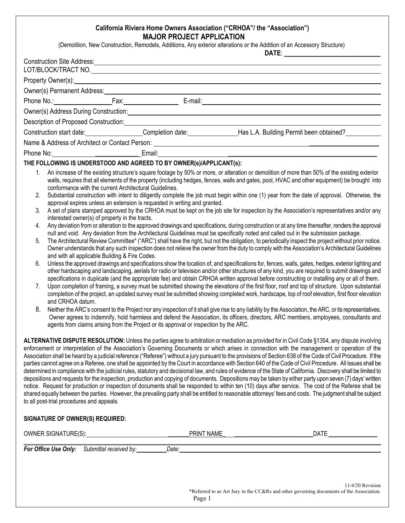## **California Riviera Home Owners Association ("CRHOA"/ the "Association") MAJOR PROJECT APPLICATION**

(Demolition, New Construction, Remodels, Additions, Any exterior alterations or the Addition of an Accessory Structure)

|                                              |                                                                                                                      |                                                        |                                                                                                                                                                    | Construction Site Address: 2008 Construction Site Address:<br>LOT/BLOCK/TRACT NO.                                                                                                                                                                                                   |                                                                                                                                                                                                                                                                                                                                                                                                                                                                                                                                                                                                                                                                                                                                                                                                                                                                                                                                                                                                                                                                                                                                                                                                                                                                                                                                                                                                                                                                                                                                                                                                                                                                                                                                                                                                                                                                                                                                                                        |
|----------------------------------------------|----------------------------------------------------------------------------------------------------------------------|--------------------------------------------------------|--------------------------------------------------------------------------------------------------------------------------------------------------------------------|-------------------------------------------------------------------------------------------------------------------------------------------------------------------------------------------------------------------------------------------------------------------------------------|------------------------------------------------------------------------------------------------------------------------------------------------------------------------------------------------------------------------------------------------------------------------------------------------------------------------------------------------------------------------------------------------------------------------------------------------------------------------------------------------------------------------------------------------------------------------------------------------------------------------------------------------------------------------------------------------------------------------------------------------------------------------------------------------------------------------------------------------------------------------------------------------------------------------------------------------------------------------------------------------------------------------------------------------------------------------------------------------------------------------------------------------------------------------------------------------------------------------------------------------------------------------------------------------------------------------------------------------------------------------------------------------------------------------------------------------------------------------------------------------------------------------------------------------------------------------------------------------------------------------------------------------------------------------------------------------------------------------------------------------------------------------------------------------------------------------------------------------------------------------------------------------------------------------------------------------------------------------|
|                                              |                                                                                                                      |                                                        |                                                                                                                                                                    | Property Owner(s): example and the contract of the contract of the contract of the contract of the contract of the contract of the contract of the contract of the contract of the contract of the contract of the contract of                                                      |                                                                                                                                                                                                                                                                                                                                                                                                                                                                                                                                                                                                                                                                                                                                                                                                                                                                                                                                                                                                                                                                                                                                                                                                                                                                                                                                                                                                                                                                                                                                                                                                                                                                                                                                                                                                                                                                                                                                                                        |
|                                              |                                                                                                                      |                                                        |                                                                                                                                                                    | Owner(s) Permanent Address:<br>expression of the contract of the contract of the contract of the contract of the contract of the contract of the contract of the contract of the contract of the contract of the contract of the                                                    |                                                                                                                                                                                                                                                                                                                                                                                                                                                                                                                                                                                                                                                                                                                                                                                                                                                                                                                                                                                                                                                                                                                                                                                                                                                                                                                                                                                                                                                                                                                                                                                                                                                                                                                                                                                                                                                                                                                                                                        |
|                                              |                                                                                                                      |                                                        |                                                                                                                                                                    |                                                                                                                                                                                                                                                                                     |                                                                                                                                                                                                                                                                                                                                                                                                                                                                                                                                                                                                                                                                                                                                                                                                                                                                                                                                                                                                                                                                                                                                                                                                                                                                                                                                                                                                                                                                                                                                                                                                                                                                                                                                                                                                                                                                                                                                                                        |
|                                              |                                                                                                                      |                                                        |                                                                                                                                                                    | Owner(s) Address During Construction: Manual Construction: National Construction of the Construction of the Construction:                                                                                                                                                           |                                                                                                                                                                                                                                                                                                                                                                                                                                                                                                                                                                                                                                                                                                                                                                                                                                                                                                                                                                                                                                                                                                                                                                                                                                                                                                                                                                                                                                                                                                                                                                                                                                                                                                                                                                                                                                                                                                                                                                        |
|                                              | Description of Proposed Construction: Network and Security Assembly                                                  |                                                        |                                                                                                                                                                    |                                                                                                                                                                                                                                                                                     |                                                                                                                                                                                                                                                                                                                                                                                                                                                                                                                                                                                                                                                                                                                                                                                                                                                                                                                                                                                                                                                                                                                                                                                                                                                                                                                                                                                                                                                                                                                                                                                                                                                                                                                                                                                                                                                                                                                                                                        |
|                                              |                                                                                                                      |                                                        |                                                                                                                                                                    |                                                                                                                                                                                                                                                                                     | Construction start date: Completion date: Completion date: Has L.A. Building Permit been obtained?                                                                                                                                                                                                                                                                                                                                                                                                                                                                                                                                                                                                                                                                                                                                                                                                                                                                                                                                                                                                                                                                                                                                                                                                                                                                                                                                                                                                                                                                                                                                                                                                                                                                                                                                                                                                                                                                     |
|                                              |                                                                                                                      |                                                        |                                                                                                                                                                    |                                                                                                                                                                                                                                                                                     |                                                                                                                                                                                                                                                                                                                                                                                                                                                                                                                                                                                                                                                                                                                                                                                                                                                                                                                                                                                                                                                                                                                                                                                                                                                                                                                                                                                                                                                                                                                                                                                                                                                                                                                                                                                                                                                                                                                                                                        |
|                                              |                                                                                                                      |                                                        |                                                                                                                                                                    |                                                                                                                                                                                                                                                                                     |                                                                                                                                                                                                                                                                                                                                                                                                                                                                                                                                                                                                                                                                                                                                                                                                                                                                                                                                                                                                                                                                                                                                                                                                                                                                                                                                                                                                                                                                                                                                                                                                                                                                                                                                                                                                                                                                                                                                                                        |
|                                              |                                                                                                                      |                                                        | THE FOLLOWING IS UNDERSTOOD AND AGREED TO BY OWNER(s)/APPLICANT(s):                                                                                                |                                                                                                                                                                                                                                                                                     |                                                                                                                                                                                                                                                                                                                                                                                                                                                                                                                                                                                                                                                                                                                                                                                                                                                                                                                                                                                                                                                                                                                                                                                                                                                                                                                                                                                                                                                                                                                                                                                                                                                                                                                                                                                                                                                                                                                                                                        |
| 1.<br>2.<br>3.<br>4.<br>5.<br>6.<br>7.<br>8. | interested owner(s) of property in the tracts.<br>and with all applicable Building & Fire Codes.<br>and CRHOA datum. | conformance with the current Architectural Guidelines. | approval expires unless an extension is requested in writing and granted.<br>agents from claims arising from the Project or its approval or inspection by the ARC. | An increase of the existing structure's square footage by 50% or more, or alteration or demolition of more than 50% of the existing exterior<br>null and void. Any deviation from the Architectural Guidelines must be specifically noted and called out in the submission package. | walls, requires that all elements of the property (including hedges, fences, walls and gates, pool, HVAC and other equipment) be brought into<br>Substantial construction with intent to diligently complete the job must begin within one (1) year from the date of approval. Otherwise, the<br>A set of plans stamped approved by the CRHOA must be kept on the job site for inspection by the Association's representatives and/or any<br>Any deviation from or alteration to the approved drawings and specifications, during construction or at any time thereafter, renders the approval<br>The Architectural Review Committee* ("ARC") shall have the right, but not the obligation, to periodically inspect the project without prior notice.<br>Owner understands that any such inspection does not relieve the owner from the duty to comply with the Association's Architectural Guidelines<br>Unless the approved drawings and specifications show the location of, and specifications for, fences, walls, gates, hedges, exterior lighting and<br>other hardscaping and landscaping, aerials for radio or television and/or other structures of any kind, you are required to submit drawings and<br>specifications in duplicate (and the appropriate fee) and obtain CRHOA written approval before constructing or installing any or all of them.<br>Upon completion of framing, a survey must be submitted showing the elevations of the first floor, roof and top of structure. Upon substantial<br>completion of the project, an updated survey must be submitted showing completed work, hardscape, top of roof elevation, first floor elevation<br>Neither the ARC's consent to the Project nor any inspection of it shall give rise to any liability by the Association, the ARC, or its representatives.<br>Owner agrees to indemnify, hold harmless and defend the Association, its officers, directors, ARC members, employees, consultants and |
|                                              | to all post-trial procedures and appeals.<br>SIGNATURE OF OWNER(S) REQUIRED:                                         |                                                        |                                                                                                                                                                    |                                                                                                                                                                                                                                                                                     | ALTERNATIVE DISPUTE RESOLUTION: Unless the parties agree to arbitration or mediation as provided for in Civil Code §1354, any dispute involving<br>enforcement or interpretation of the Association's Governing Documents or which arises in connection with the management or operation of the<br>Association shall be heard by a judicial reference ("Referee") without a jury pursuant to the provisions of Section 638 of the Code of Civil Procedure. If the<br>parties cannot agree on a Referee, one shall be appointed by the Court in accordance with Section 640 of the Code of Civil Procedure. All issues shall be<br>determined in compliance with the judicial rules, statutory and decisional law, and rules of evidence of the State of California. Discovery shall be limited to<br>depositions and requests for the inspection, production and copying of documents. Depositions may be taken by either party upon seven (7) days' written<br>notice. Request for production or inspection of documents shall be responded to within ten (10) days after service. The cost of the Referee shall be<br>shared equally between the parties. However, the prevailing party shall be entitled to reasonable attorneys' fees and costs. The judgment shall be subject                                                                                                                                                                                                                                                                                                                                                                                                                                                                                                                                                                                                                                                                                     |
|                                              |                                                                                                                      |                                                        |                                                                                                                                                                    |                                                                                                                                                                                                                                                                                     |                                                                                                                                                                                                                                                                                                                                                                                                                                                                                                                                                                                                                                                                                                                                                                                                                                                                                                                                                                                                                                                                                                                                                                                                                                                                                                                                                                                                                                                                                                                                                                                                                                                                                                                                                                                                                                                                                                                                                                        |
|                                              | OWNER SIGNATURE(S)                                                                                                   |                                                        | PRINT NAME                                                                                                                                                         |                                                                                                                                                                                                                                                                                     | <b>DATE</b>                                                                                                                                                                                                                                                                                                                                                                                                                                                                                                                                                                                                                                                                                                                                                                                                                                                                                                                                                                                                                                                                                                                                                                                                                                                                                                                                                                                                                                                                                                                                                                                                                                                                                                                                                                                                                                                                                                                                                            |

| OWNER SIGNATURE(S):_ |                                             | PRINT NAME | DATE |  |
|----------------------|---------------------------------------------|------------|------|--|
|                      | For Office Use Only: Submittal received by: | Date:      |      |  |
|                      |                                             |            |      |  |
|                      |                                             |            |      |  |
|                      |                                             |            |      |  |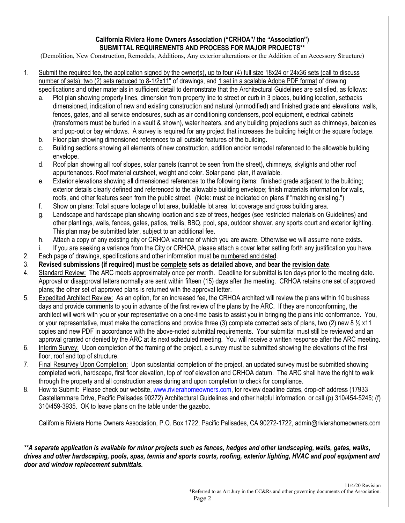## **California Riviera Home Owners Association ("CRHOA"/ the "Association") SUBMITTAL REQUIREMENTS AND PROCESS FOR MAJOR PROJECTS\*\***

(Demolition, New Construction, Remodels, Additions, Any exterior alterations or the Addition of an Accessory Structure)

- 1. Submit the required fee, the application signed by the owner(s), up to four (4) full size 18x24 or 24x36 sets (call to discuss number of sets); two (2) sets reduced to 8-1/2x11" of drawings, and 1 set in a scalable Adobe PDF format of drawing specifications and other materials in sufficient detail to demonstrate that the Architectural Guidelines are satisfied, as follows:
	- a. Plot plan showing property lines, dimension from property line to street or curb in 3 places, building location, setbacks dimensioned, indication of new and existing construction and natural (unmodified) and finished grade and elevations, walls, fences, gates, and all service enclosures, such as air conditioning condensers, pool equipment, electrical cabinets (transformers must be buried in a vault & shown), water heaters, and any building projections such as chimneys, balconies and pop-out or bay windows. A survey is required for any project that increases the building height or the square footage.
	- b. Floor plan showing dimensioned references to all outside features of the building.
	- c. Building sections showing all elements of new construction, addition and/or remodel referenced to the allowable building envelope.
	- d. Roof plan showing all roof slopes, solar panels (cannot be seen from the street), chimneys, skylights and other roof appurtenances. Roof material cutsheet, weight and color. Solar panel plan, if available.
	- e. Exterior elevations showing all dimensioned references to the following items: finished grade adjacent to the building; exterior details clearly defined and referenced to the allowable building envelope; finish materials information for walls, roofs, and other features seen from the public street. (Note: must be indicated on plans if "matching existing.")
	- f. Show on plans: Total square footage of lot area, buildable lot area, lot coverage and gross building area.
	- g. Landscape and hardscape plan showing location and size of trees, hedges (see restricted materials on Guidelines) and other plantings, walls, fences, gates, patios, trellis, BBQ, pool, spa, outdoor shower, any sports court and exterior lighting. This plan may be submitted later, subject to an additional fee.
	- h. Attach a copy of any existing city or CRHOA variance of which you are aware. Otherwise we will assume none exists.
	- i. If you are seeking a variance from the City or CRHOA, please attach a cover letter setting forth any justification you have.
- 2. Each page of drawings, specifications and other information must be numbered and dated.
- 3. **Revised submissions (if required) must be complete sets as detailed above, and bear the revision date**.
- 4. Standard Review: The ARC meets approximately once per month. Deadline for submittal is ten days prior to the meeting date. Approval or disapproval letters normally are sent within fifteen (15) days after the meeting. CRHOA retains one set of approved plans; the other set of approved plans is returned with the approval letter.
- 5. Expedited Architect Review: As an option, for an increased fee, the CRHOA architect will review the plans within 10 business days and provide comments to you in advance of the first review of the plans by the ARC. If they are nonconforming, the architect will work with you or your representative on a one-time basis to assist you in bringing the plans into conformance. You, or your representative, must make the corrections and provide three (3) complete corrected sets of plans, two (2) new 8  $\frac{1}{2}$  x11 copies and new PDF in accordance with the above-noted submittal requirements. Your submittal must still be reviewed and an approval granted or denied by the ARC at its next scheduled meeting. You will receive a written response after the ARC meeting.
- 6. Interim Survey: Upon completion of the framing of the project, a survey must be submitted showing the elevations of the first floor, roof and top of structure.
- 7. Final Resurvey Upon Completion: Upon substantial completion of the project, an updated survey must be submitted showing completed work, hardscape, first floor elevation, top of roof elevation and CRHOA datum. The ARC shall have the right to walk through the property and all construction areas during and upon completion to check for compliance.
- 8. How to Submit: Please check our website, [www.rivierahomeowners.com,](http://www.rivierahomeowners.com/) for review deadline dates, drop-off address (17933 Castellammare Drive, Pacific Palisades 90272) Architectural Guidelines and other helpful information, or call (p) 310/454-5245; (f) 310/459-3935. OK to leave plans on the table under the gazebo.

California Riviera Home Owners Association, P.O. Box 1722, Pacific Palisades, CA 90272-1722, admin@rivierahomeowners.com

*\*\*A separate application is available for minor projects such as fences, hedges and other landscaping, walls, gates, walks, drives and other hardscaping, pools, spas, tennis and sports courts, roofing, exterior lighting, HVAC and pool equipment and door and window replacement submittals.*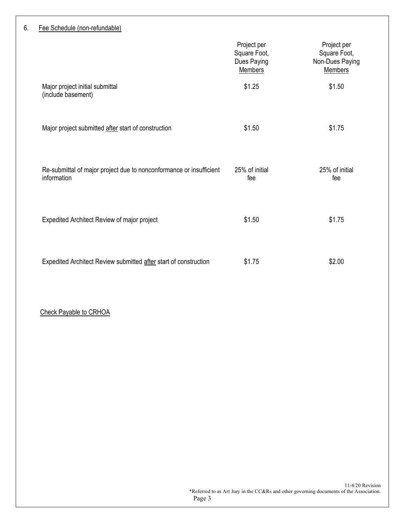## 6. Fee Schedule (non-refundable)

|                                                                                    | Project per<br>Square Foot,<br>Dues Paying<br><b>Members</b> | Project per<br>Square Foot,<br>Non-Dues Paying<br><b>Members</b> |
|------------------------------------------------------------------------------------|--------------------------------------------------------------|------------------------------------------------------------------|
| Major project initial submittal<br>(include basement)                              | \$1.25                                                       | \$1.50                                                           |
| Major project submitted after start of construction                                | \$1.50                                                       | \$1.75                                                           |
| Re-submittal of major project due to nonconformance or insufficient<br>information | 25% of initial<br>fee                                        | 25% of initial<br>fee                                            |
| Expedited Architect Review of major project                                        | \$1.50                                                       | \$1.75                                                           |
| Expedited Architect Review submitted after start of construction                   | \$1.75                                                       | \$2.00                                                           |

## Check Payable to CRHOA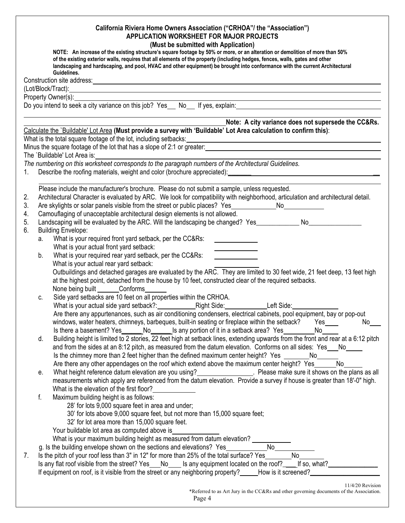|                            | California Riviera Home Owners Association ("CRHOA"/ the "Association")<br>APPLICATION WORKSHEET FOR MAJOR PROJECTS<br>(Must be submitted with Application)<br>NOTE: An increase of the existing structure's square footage by 50% or more, or an alteration or demolition of more than 50%<br>of the existing exterior walls, requires that all elements of the property (including hedges, fences, walls, gates and other<br>landscaping and hardscaping, and pool, HVAC and other equipment) be brought into conformance with the current Architectural<br>Guidelines.      |
|----------------------------|--------------------------------------------------------------------------------------------------------------------------------------------------------------------------------------------------------------------------------------------------------------------------------------------------------------------------------------------------------------------------------------------------------------------------------------------------------------------------------------------------------------------------------------------------------------------------------|
|                            | Construction site address: example and the set of the set of the set of the set of the set of the set of the set of the set of the set of the set of the set of the set of the set of the set of the set of the set of the set                                                                                                                                                                                                                                                                                                                                                 |
|                            |                                                                                                                                                                                                                                                                                                                                                                                                                                                                                                                                                                                |
|                            | Property Owner(s):<br>Do you intend to seek a city variance on this job? Yes__ No__ If yes, explain:________________________________                                                                                                                                                                                                                                                                                                                                                                                                                                           |
|                            |                                                                                                                                                                                                                                                                                                                                                                                                                                                                                                                                                                                |
|                            | Note: A city variance does not supersede the CC&Rs.                                                                                                                                                                                                                                                                                                                                                                                                                                                                                                                            |
|                            | Calculate the `Buildable' Lot Area (Must provide a survey with 'Buildable' Lot Area calculation to confirm this):<br>What is the total square footage of the lot, including setbacks: North American American State of the lot, including setbacks:                                                                                                                                                                                                                                                                                                                            |
|                            | Minus the square footage of the lot that has a slope of 2:1 or greater:                                                                                                                                                                                                                                                                                                                                                                                                                                                                                                        |
|                            | The `Buildable' Lot Area is:                                                                                                                                                                                                                                                                                                                                                                                                                                                                                                                                                   |
| 1.                         | The numbering on this worksheet corresponds to the paragraph numbers of the Architectural Guidelines.                                                                                                                                                                                                                                                                                                                                                                                                                                                                          |
|                            |                                                                                                                                                                                                                                                                                                                                                                                                                                                                                                                                                                                |
| 2.<br>3.<br>4.<br>5.<br>6. | Please include the manufacturer's brochure. Please do not submit a sample, unless requested.<br>Architectural Character is evaluated by ARC. We look for compatibility with neighborhood, articulation and architectural detail.<br>Are skylights or solar panels visible from the street or public places? Yes___________________________________<br>Camouflaging of unacceptable architectural design elements is not allowed.<br>Landscaping will be evaluated by the ARC. Will the landscaping be changed? Yes____________ No________________<br><b>Building Envelope:</b> |
|                            | What is your required front yard setback, per the CC&Rs:<br>a.                                                                                                                                                                                                                                                                                                                                                                                                                                                                                                                 |
|                            | What is your actual front yard setback:                                                                                                                                                                                                                                                                                                                                                                                                                                                                                                                                        |
|                            | What is your required rear yard setback, per the CC&Rs:<br>b.<br>What is your actual rear yard setback:<br>Outbuildings and detached garages are evaluated by the ARC. They are limited to 30 feet wide, 21 feet deep, 13 feet high<br>at the highest point, detached from the house by 10 feet, constructed clear of the required setbacks.                                                                                                                                                                                                                                   |
|                            | None being built Conforms<br>Side yard setbacks are 10 feet on all properties within the CRHOA.<br>C.<br>Are there any appurtenances, such as air conditioning condensers, electrical cabinets, pool equipment, bay or pop-out<br>windows, water heaters, chimneys, barbeques, built-in seating or fireplace within the setback? Yes<br>$No$ <sub>___</sub><br>Is there a basement? Yes ________No________Is any portion of it in a setback area? Yes ____________<br>No                                                                                                       |
|                            | Building height is limited to 2 stories, 22 feet high at setback lines, extending upwards from the front and rear at a 6:12 pitch<br>d.<br>and from the sides at an 8:12 pitch, as measured from the datum elevation. Conforms on all sides: Yes No<br>Is the chimney more than 2 feet higher than the defined maximum center height? Yes ______<br>No<br>No<br>Are there any other appendages on the roof which extend above the maximum center height? Yes                                                                                                                   |
|                            | What height reference datum elevation are you using?<br>Nease make sure it shows on the plans as all<br>е.<br>measurements which apply are referenced from the datum elevation. Provide a survey if house is greater than 18'-0" high.<br>What is the elevation of the first floor?                                                                                                                                                                                                                                                                                            |
|                            | Maximum building height is as follows:<br>f.<br>28' for lots 9,000 square feet in area and under;<br>30' for lots above 9,000 square feet, but not more than 15,000 square feet;<br>32' for lot area more than 15,000 square feet.<br>Your buildable lot area as computed above is<br>What is your maximum building height as measured from datum elevation? _____                                                                                                                                                                                                             |
|                            | No<br>g. Is the building envelope shown on the sections and elevations? Yes___________                                                                                                                                                                                                                                                                                                                                                                                                                                                                                         |
| 7.                         | Is the pitch of your roof less than 3" in 12" for more than 25% of the total surface? Yes<br>No                                                                                                                                                                                                                                                                                                                                                                                                                                                                                |
|                            | Is any flat roof visible from the street? Yes No Stary equipment located on the roof? If so, what?<br>If equipment on roof, is it visible from the street or any neighboring property? How is it screened?                                                                                                                                                                                                                                                                                                                                                                     |
|                            | 11/4/20 Revision<br>*Referred to as Art Jury in the CC&Rs and other governing documents of the Association.<br>Page 4                                                                                                                                                                                                                                                                                                                                                                                                                                                          |